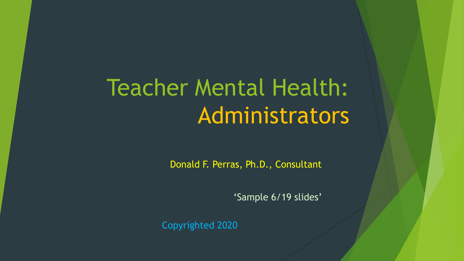# Teacher Mental Health: Administrators

Donald F. Perras, Ph.D., Consultant

'Sample 6/19 slides'

Copyrighted 2020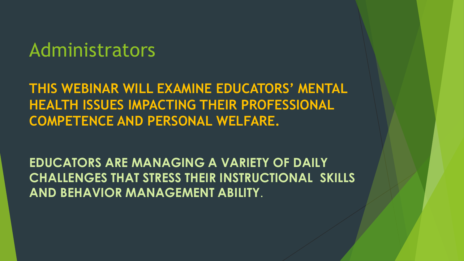#### Administrators

**THIS WEBINAR WILL EXAMINE EDUCATORS' MENTAL HEALTH ISSUES IMPACTING THEIR PROFESSIONAL COMPETENCE AND PERSONAL WELFARE.**

**EDUCATORS ARE MANAGING A VARIETY OF DAILY CHALLENGES THAT STRESS THEIR INSTRUCTIONAL SKILLS AND BEHAVIOR MANAGEMENT ABILITY**.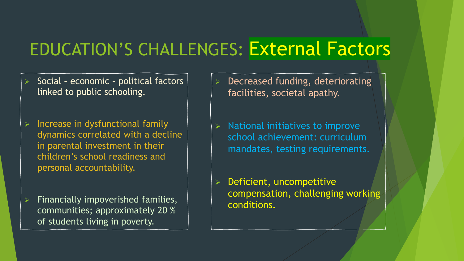## EDUCATION'S CHALLENGES: External Factors

- Social economic political factors linked to public schooling.
- Increase in dysfunctional family dynamics correlated with a decline in parental investment in their children's school readiness and personal accountability.
- Financially impoverished families, communities; approximately 20 % of students living in poverty.
- ➢ Decreased funding, deteriorating facilities, societal apathy.
- ➢ National initiatives to improve school achievement: curriculum mandates, testing requirements.
- Deficient, uncompetitive compensation, challenging working conditions.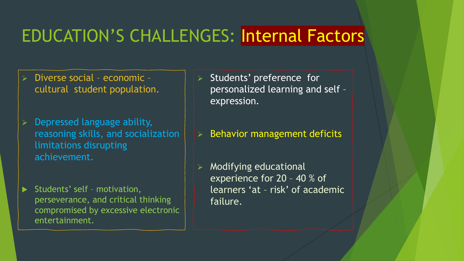## EDUCATION'S CHALLENGES: Internal Factors

- ➢ Diverse social economic cultural student population.
- $\triangleright$  Depressed language ability, reasoning skills, and socialization limitations disrupting achievement.
- $\blacktriangleright$  Students' self motivation, perseverance, and critical thinking compromised by excessive electronic entertainment.
- Students' preference for personalized learning and self – expression.
- Behavior management deficits
- ➢ Modifying educational experience for 20 – 40 % of learners 'at – risk' of academic failure.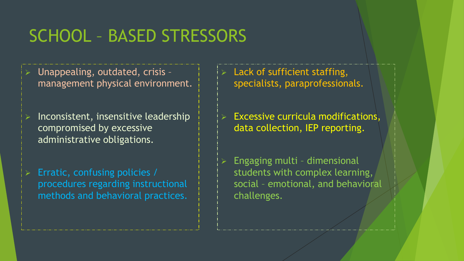#### SCHOOL – BASED STRESSORS

- ➢ Unappealing, outdated, crisis management physical environment.
- Inconsistent, insensitive leadership compromised by excessive administrative obligations.
- ➢ Erratic, confusing policies / procedures regarding instructional methods and behavioral practices.
- $\triangleright$  Lack of sufficient staffing, specialists, paraprofessionals.
- Excessive curricula modifications, data collection, IEP reporting.
- ➢ Engaging multi dimensional students with complex learning, social – emotional, and behavioral challenges.